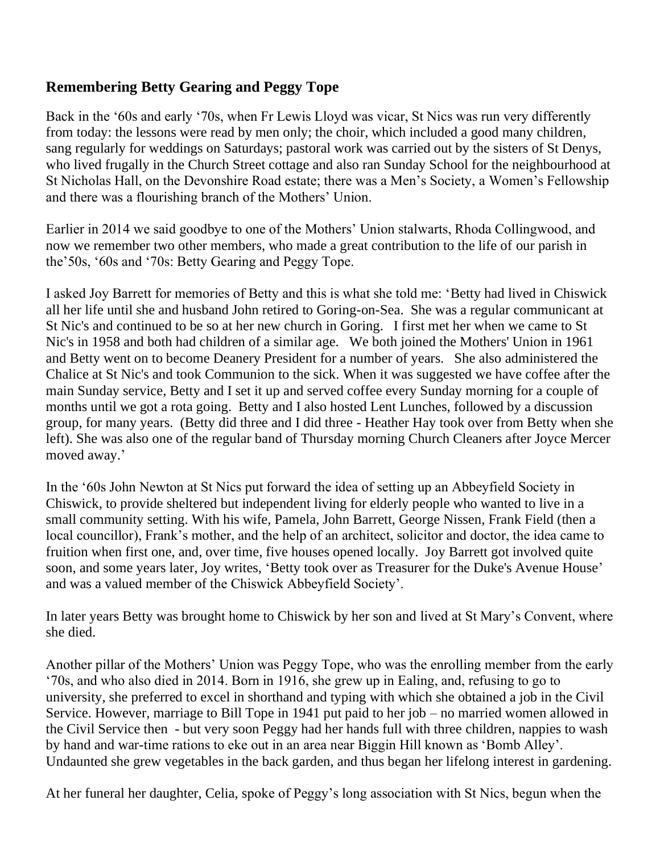## **Remembering Betty Gearing and Peggy Tope**

Back in the '60s and early '70s, when Fr Lewis Lloyd was vicar, St Nics was run very differently from today: the lessons were read by men only; the choir, which included a good many children, sang regularly for weddings on Saturdays; pastoral work was carried out by the sisters of St Denys, who lived frugally in the Church Street cottage and also ran Sunday School for the neighbourhood at St Nicholas Hall, on the Devonshire Road estate; there was a Men's Society, a Women's Fellowship and there was a flourishing branch of the Mothers' Union.

Earlier in 2014 we said goodbye to one of the Mothers' Union stalwarts, Rhoda Collingwood, and now we remember two other members, who made a great contribution to the life of our parish in the'50s, '60s and '70s: Betty Gearing and Peggy Tope.

I asked Joy Barrett for memories of Betty and this is what she told me: 'Betty had lived in Chiswick all her life until she and husband John retired to Goring-on-Sea. She was a regular communicant at St Nic's and continued to be so at her new church in Goring. I first met her when we came to St Nic's in 1958 and both had children of a similar age. We both joined the Mothers' Union in 1961 and Betty went on to become Deanery President for a number of years. She also administered the Chalice at St Nic's and took Communion to the sick. When it was suggested we have coffee after the main Sunday service, Betty and I set it up and served coffee every Sunday morning for a couple of months until we got a rota going. Betty and I also hosted Lent Lunches, followed by a discussion group, for many years. (Betty did three and I did three - Heather Hay took over from Betty when she left). She was also one of the regular band of Thursday morning Church Cleaners after Joyce Mercer moved away.'

In the '60s John Newton at St Nics put forward the idea of setting up an Abbeyfield Society in Chiswick, to provide sheltered but independent living for elderly people who wanted to live in a small community setting. With his wife, Pamela, John Barrett, George Nissen, Frank Field (then a local councillor), Frank's mother, and the help of an architect, solicitor and doctor, the idea came to fruition when first one, and, over time, five houses opened locally. Joy Barrett got involved quite soon, and some years later, Joy writes, 'Betty took over as Treasurer for the Duke's Avenue House' and was a valued member of the Chiswick Abbeyfield Society'.

In later years Betty was brought home to Chiswick by her son and lived at St Mary's Convent, where she died.

Another pillar of the Mothers' Union was Peggy Tope, who was the enrolling member from the early '70s, and who also died in 2014. Born in 1916, she grew up in Ealing, and, refusing to go to university, she preferred to excel in shorthand and typing with which she obtained a job in the Civil Service. However, marriage to Bill Tope in 1941 put paid to her job – no married women allowed in the Civil Service then - but very soon Peggy had her hands full with three children, nappies to wash by hand and war-time rations to eke out in an area near Biggin Hill known as 'Bomb Alley'. Undaunted she grew vegetables in the back garden, and thus began her lifelong interest in gardening.

At her funeral her daughter, Celia, spoke of Peggy's long association with St Nics, begun when the